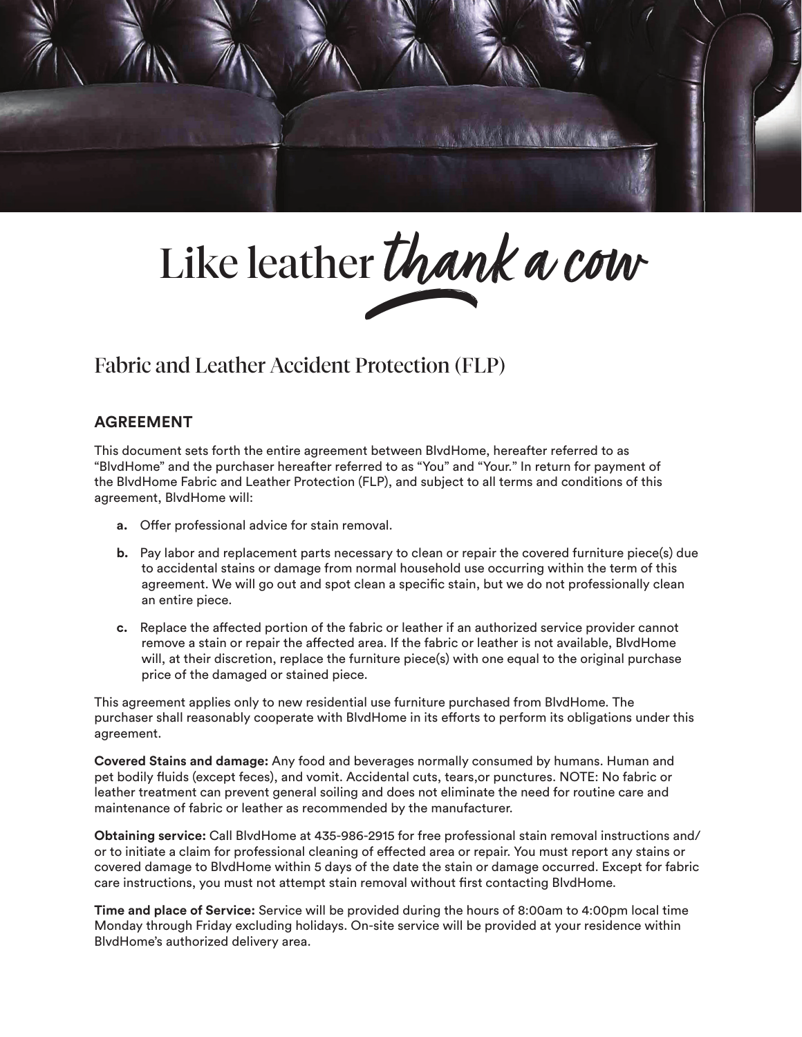

# Like leather thank a cow

## Fabric and Leather Accident Protection (FLP)

### **AGREEMENT**

This document sets forth the entire agreement between BlvdHome, hereafter referred to as "BlvdHome" and the purchaser hereafter referred to as "You" and "Your." In return for payment of the BlvdHome Fabric and Leather Protection (FLP), and subject to all terms and conditions of this agreement, BlvdHome will:

- **a.** Offer professional advice for stain removal.
- **b.** Pay labor and replacement parts necessary to clean or repair the covered furniture piece(s) due to accidental stains or damage from normal household use occurring within the term of this agreement. We will go out and spot clean a specific stain, but we do not professionally clean an entire piece.
- **c.** Replace the affected portion of the fabric or leather if an authorized service provider cannot remove a stain or repair the affected area. If the fabric or leather is not available, BlvdHome will, at their discretion, replace the furniture piece(s) with one equal to the original purchase price of the damaged or stained piece.

This agreement applies only to new residential use furniture purchased from BlvdHome. The purchaser shall reasonably cooperate with BlvdHome in its efforts to perform its obligations under this agreement.

**Covered Stains and damage:** Any food and beverages normally consumed by humans. Human and pet bodily fluids (except feces), and vomit. Accidental cuts, tears,or punctures. NOTE: No fabric or leather treatment can prevent general soiling and does not eliminate the need for routine care and maintenance of fabric or leather as recommended by the manufacturer.

**Obtaining service:** Call BlvdHome at 435-986-2915 for free professional stain removal instructions and/ or to initiate a claim for professional cleaning of effected area or repair. You must report any stains or covered damage to BlvdHome within 5 days of the date the stain or damage occurred. Except for fabric care instructions, you must not attempt stain removal without first contacting BlvdHome.

**Time and place of Service:** Service will be provided during the hours of 8:00am to 4:00pm local time Monday through Friday excluding holidays. On-site service will be provided at your residence within BlvdHome's authorized delivery area.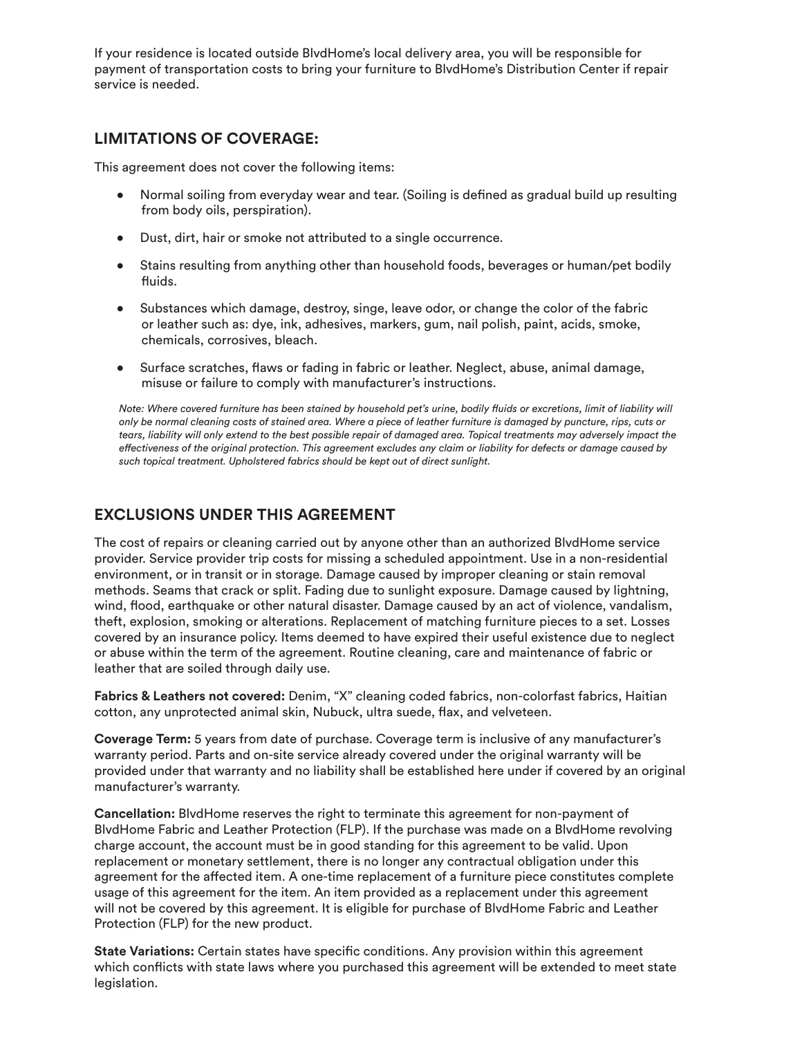If your residence is located outside BlvdHome's local delivery area, you will be responsible for payment of transportation costs to bring your furniture to BlvdHome's Distribution Center if repair service is needed.

### **LIMITATIONS OF COVERAGE:**

This agreement does not cover the following items:

- Normal soiling from everyday wear and tear. (Soiling is defined as gradual build up resulting from body oils, perspiration).
- Dust, dirt, hair or smoke not attributed to a single occurrence.
- Stains resulting from anything other than household foods, beverages or human/pet bodily fluids.
- Substances which damage, destroy, singe, leave odor, or change the color of the fabric or leather such as: dye, ink, adhesives, markers, gum, nail polish, paint, acids, smoke, chemicals, corrosives, bleach.
- Surface scratches, flaws or fading in fabric or leather. Neglect, abuse, animal damage, misuse or failure to comply with manufacturer's instructions.

*Note: Where covered furniture has been stained by household pet's urine, bodily fluids or excretions, limit of liability will only be normal cleaning costs of stained area. Where a piece of leather furniture is damaged by puncture, rips, cuts or tears, liability will only extend to the best possible repair of damaged area. Topical treatments may adversely impact the effectiveness of the original protection. This agreement excludes any claim or liability for defects or damage caused by such topical treatment. Upholstered fabrics should be kept out of direct sunlight.*

#### **EXCLUSIONS UNDER THIS AGREEMENT**

The cost of repairs or cleaning carried out by anyone other than an authorized BlvdHome service provider. Service provider trip costs for missing a scheduled appointment. Use in a non-residential environment, or in transit or in storage. Damage caused by improper cleaning or stain removal methods. Seams that crack or split. Fading due to sunlight exposure. Damage caused by lightning, wind, flood, earthquake or other natural disaster. Damage caused by an act of violence, vandalism, theft, explosion, smoking or alterations. Replacement of matching furniture pieces to a set. Losses covered by an insurance policy. Items deemed to have expired their useful existence due to neglect or abuse within the term of the agreement. Routine cleaning, care and maintenance of fabric or leather that are soiled through daily use.

**Fabrics & Leathers not covered:** Denim, "X" cleaning coded fabrics, non-colorfast fabrics, Haitian cotton, any unprotected animal skin, Nubuck, ultra suede, flax, and velveteen.

**Coverage Term:** 5 years from date of purchase. Coverage term is inclusive of any manufacturer's warranty period. Parts and on-site service already covered under the original warranty will be provided under that warranty and no liability shall be established here under if covered by an original manufacturer's warranty.

**Cancellation:** BlvdHome reserves the right to terminate this agreement for non-payment of BlvdHome Fabric and Leather Protection (FLP). If the purchase was made on a BlvdHome revolving charge account, the account must be in good standing for this agreement to be valid. Upon replacement or monetary settlement, there is no longer any contractual obligation under this agreement for the affected item. A one-time replacement of a furniture piece constitutes complete usage of this agreement for the item. An item provided as a replacement under this agreement will not be covered by this agreement. It is eligible for purchase of BlvdHome Fabric and Leather Protection (FLP) for the new product.

**State Variations:** Certain states have specific conditions. Any provision within this agreement which conflicts with state laws where you purchased this agreement will be extended to meet state legislation.